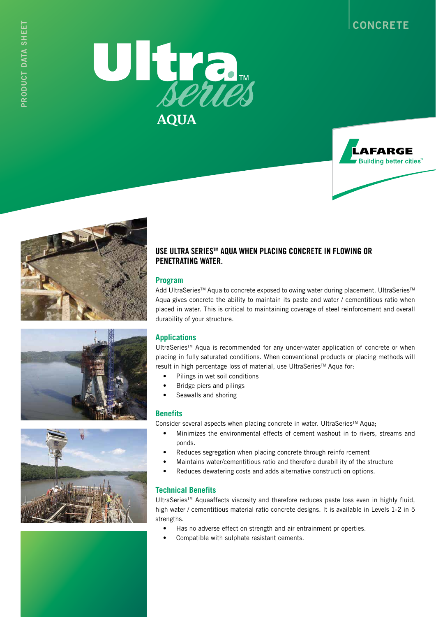









## **USE ULTRA SERIESTM AQUA WHEN PLACING CONCRETE IN FLOWING OR PENETRATING WATER.**

#### **Program**

Add UltraSeries™ Aqua to concrete exposed to owing water during placement. UltraSeries™ Aqua gives concrete the ability to maintain its paste and water / cementitious ratio when placed in water. This is critical to maintaining coverage of steel reinforcement and overall durability of your structure.

#### **Applications**

UltraSeriesTM Aqua is recommended for any under-water application of concrete or when placing in fully saturated conditions. When conventional products or placing methods will result in high percentage loss of material, use UltraSeries™ Aqua for:

- Pilings in wet soil conditions
- Bridge piers and pilings
- Seawalls and shoring

#### **Benefits**

Consider several aspects when placing concrete in water. UltraSeries™ Aqua;

- Minimizes the environmental effects of cement washout in to rivers, streams and ponds.
- Reduces segregation when placing concrete through reinfo rcement
- Maintains water/cementitious ratio and therefore durabil ity of the structure
- Reduces dewatering costs and adds alternative constructi on options.

#### **Technical Benefits**

UltraSeries™ Aquaaffects viscosity and therefore reduces paste loss even in highly fluid, high water / cementitious material ratio concrete designs. It is available in Levels 1-2 in 5 strengths.

- Has no adverse effect on strength and air entrainment pr operties.
- Compatible with sulphate resistant cements.